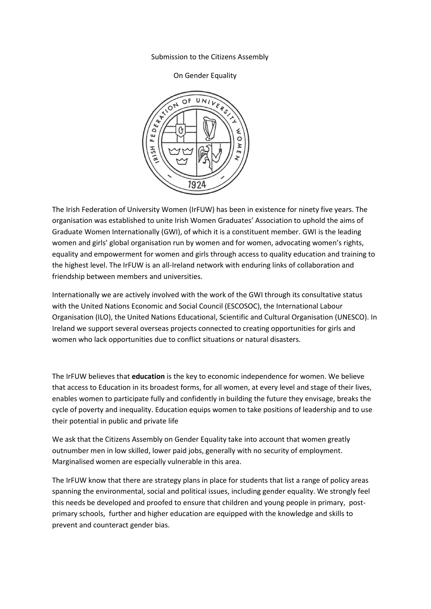## Submission to the Citizens Assembly

## On Gender Equality



The Irish Federation of University Women (IrFUW) has been in existence for ninety five years. The organisation was established to unite Irish Women Graduates' Association to uphold the aims of Graduate Women Internationally (GWI), of which it is a constituent member. GWI is the leading women and girls' global organisation run by women and for women, advocating women's rights, equality and empowerment for women and girls through access to quality education and training to the highest level. The IrFUW is an all-Ireland network with enduring links of collaboration and friendship between members and universities.

Internationally we are actively involved with the work of the GWI through its consultative status with the United Nations Economic and Social Council (ESCOSOC), the International Labour Organisation (ILO), the United Nations Educational, Scientific and Cultural Organisation (UNESCO). In Ireland we support several overseas projects connected to creating opportunities for girls and women who lack opportunities due to conflict situations or natural disasters.

The IrFUW believes that **education** is the key to economic independence for women. We believe that access to Education in its broadest forms, for all women, at every level and stage of their lives, enables women to participate fully and confidently in building the future they envisage, breaks the cycle of poverty and inequality. Education equips women to take positions of leadership and to use their potential in public and private life

We ask that the Citizens Assembly on Gender Equality take into account that women greatly outnumber men in low skilled, lower paid jobs, generally with no security of employment. Marginalised women are especially vulnerable in this area.

The IrFUW know that there are strategy plans in place for students that list a range of policy areas spanning the environmental, social and political issues, including gender equality. We strongly feel this needs be developed and proofed to ensure that children and young people in primary, postprimary schools, further and higher education are equipped with the knowledge and skills to prevent and counteract gender bias.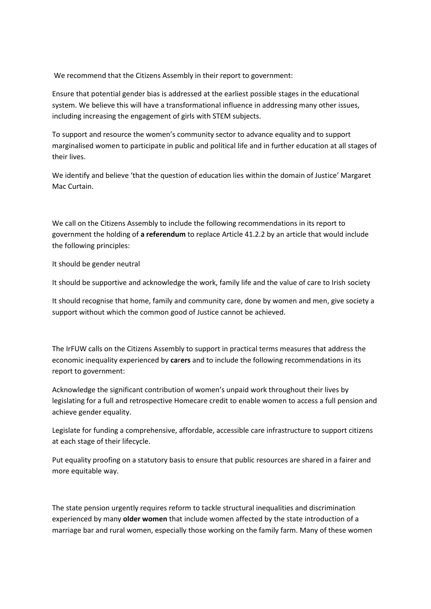We recommend that the Citizens Assembly in their report to government:

Ensure that potential gender bias is addressed at the earliest possible stages in the educational system. We believe this will have a transformational influence in addressing many other issues, including increasing the engagement of girls with STEM subjects.

To support and resource the women's community sector to advance equality and to support marginalised women to participate in public and political life and in further education at all stages of their lives.

We identify and believe 'that the question of education lies within the domain of Justice' Margaret Mac Curtain.

We call on the Citizens Assembly to include the following recommendations in its report to government the holding of **a referendum** to replace Article 41.2.2 by an article that would include the following principles:

It should be gender neutral

It should be supportive and acknowledge the work, family life and the value of care to Irish society

It should recognise that home, family and community care, done by women and men, give society a support without which the common good of Justice cannot be achieved.

The IrFUW calls on the Citizens Assembly to support in practical terms measures that address the economic inequality experienced by **ca**r**ers** and to include the following recommendations in its report to government:

Acknowledge the significant contribution of women's unpaid work throughout their lives by legislating for a full and retrospective Homecare credit to enable women to access a full pension and achieve gender equality.

Legislate for funding a comprehensive, affordable, accessible care infrastructure to support citizens at each stage of their lifecycle.

Put equality proofing on a statutory basis to ensure that public resources are shared in a fairer and more equitable way.

The state pension urgently requires reform to tackle structural inequalities and discrimination experienced by many **older women** that include women affected by the state introduction of a marriage bar and rural women, especially those working on the family farm. Many of these women